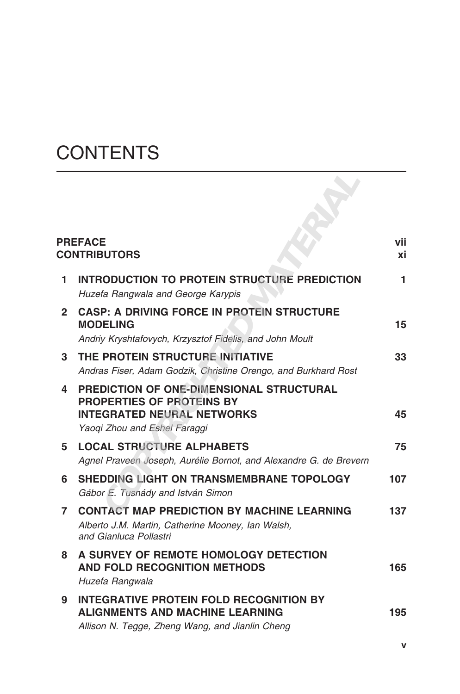## **CONTENTS**

| <b>PREFACE</b><br><b>CONTRIBUTORS</b> |                                                                                                                                                          | vii<br>хi |
|---------------------------------------|----------------------------------------------------------------------------------------------------------------------------------------------------------|-----------|
| 1.                                    | INTRODUCTION TO PROTEIN STRUCTURE PREDICTION<br>Huzefa Rangwala and George Karypis                                                                       | 1         |
| $\mathbf{2}$                          | <b>CASP: A DRIVING FORCE IN PROTEIN STRUCTURE</b><br><b>MODELING</b><br>Andriy Kryshtafovych, Krzysztof Fidelis, and John Moult                          | 15        |
| 3                                     | THE PROTEIN STRUCTURE INITIATIVE<br>Andras Fiser, Adam Godzik, Christine Orengo, and Burkhard Rost                                                       | 33        |
| 4                                     | <b>PREDICTION OF ONE-DIMENSIONAL STRUCTURAL</b><br><b>PROPERTIES OF PROTEINS BY</b><br><b>INTEGRATED NEURAL NETWORKS</b><br>Yaogi Zhou and Eshel Faraggi | 45        |
| 5.                                    | <b>LOCAL STRUCTURE ALPHABETS</b><br>Agnel Praveen Joseph, Aurélie Bornot, and Alexandre G. de Brevern                                                    | 75        |
| 6                                     | <b>SHEDDING LIGHT ON TRANSMEMBRANE TOPOLOGY</b><br>Gábor E. Tusnády and István Simon                                                                     | 107       |
| $\mathbf{7}$                          | <b>CONTACT MAP PREDICTION BY MACHINE LEARNING</b><br>Alberto J.M. Martin, Catherine Mooney, Ian Walsh,<br>and Gianluca Pollastri                         | 137       |
| 8                                     | A SURVEY OF REMOTE HOMOLOGY DETECTION<br><b>AND FOLD RECOGNITION METHODS</b><br>Huzefa Rangwala                                                          | 165       |
| 9                                     | <b>INTEGRATIVE PROTEIN FOLD RECOGNITION BY</b><br><b>ALIGNMENTS AND MACHINE LEARNING</b><br>Allison N. Tegge, Zheng Wang, and Jianlin Cheng              | 195       |